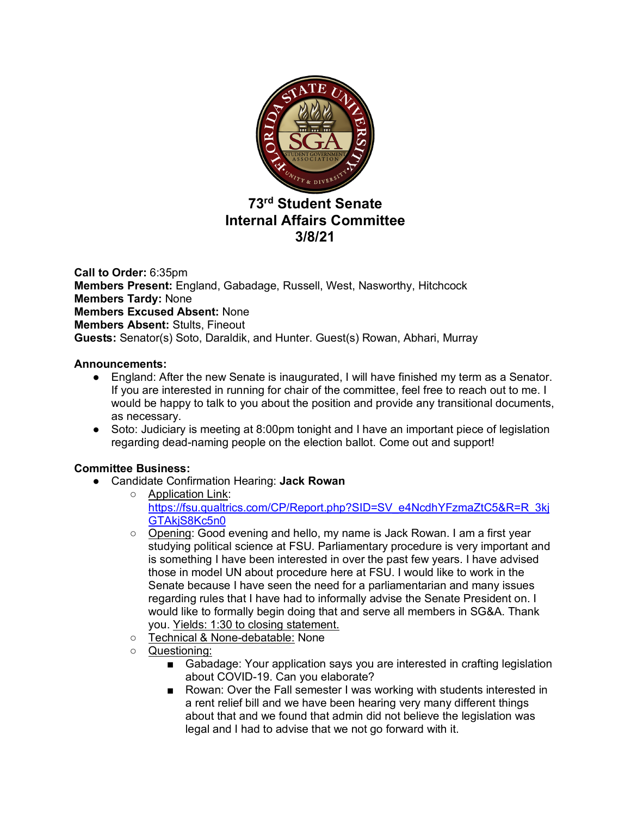

# **73rd Student Senate Internal Affairs Committee 3/8/21**

**Call to Order:** 6:35pm **Members Present:** England, Gabadage, Russell, West, Nasworthy, Hitchcock **Members Tardy:** None **Members Excused Absent:** None **Members Absent:** Stults, Fineout **Guests:** Senator(s) Soto, Daraldik, and Hunter. Guest(s) Rowan, Abhari, Murray

### **Announcements:**

- England: After the new Senate is inaugurated, I will have finished my term as a Senator. If you are interested in running for chair of the committee, feel free to reach out to me. I would be happy to talk to you about the position and provide any transitional documents, as necessary.
- Soto: Judiciary is meeting at 8:00pm tonight and I have an important piece of legislation regarding dead-naming people on the election ballot. Come out and support!

## **Committee Business:**

- Candidate Confirmation Hearing: **Jack Rowan**
	- Application Link: https://fsu.qualtrics.com/CP/Report.php?SID=SV\_e4NcdhYFzmaZtC5&R=R\_3kj GTAkjS8Kc5n0
	- Opening: Good evening and hello, my name is Jack Rowan. I am a first year studying political science at FSU. Parliamentary procedure is very important and is something I have been interested in over the past few years. I have advised those in model UN about procedure here at FSU. I would like to work in the Senate because I have seen the need for a parliamentarian and many issues regarding rules that I have had to informally advise the Senate President on. I would like to formally begin doing that and serve all members in SG&A. Thank you. Yields: 1:30 to closing statement.
	- Technical & None-debatable: None
	- Questioning:
		- Gabadage: Your application says you are interested in crafting legislation about COVID-19. Can you elaborate?
		- Rowan: Over the Fall semester I was working with students interested in a rent relief bill and we have been hearing very many different things about that and we found that admin did not believe the legislation was legal and I had to advise that we not go forward with it.